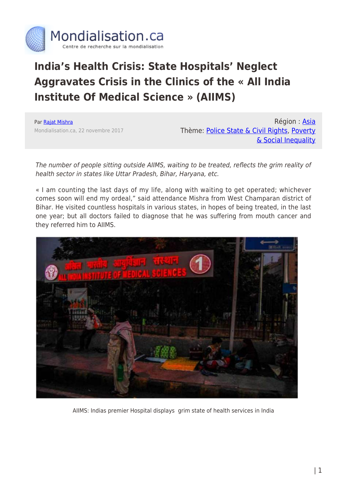

## **India's Health Crisis: State Hospitals' Neglect Aggravates Crisis in the Clinics of the « All India Institute Of Medical Science » (AIIMS)**

Par [Rajat Mishra](https://www.mondialisation.ca/author/rajat-mishra) Mondialisation.ca, 22 novembre 2017

Région : [Asia](https://www.mondialisation.ca/region/asia-as) Thème: [Police State & Civil Rights](https://www.mondialisation.ca/theme/police-state-civil-rights-as), [Poverty](https://www.mondialisation.ca/theme/poverty-social-inequality-as) [& Social Inequality](https://www.mondialisation.ca/theme/poverty-social-inequality-as)

The number of people sitting outside AIIMS, waiting to be treated, reflects the grim reality of health sector in states like Uttar Pradesh, Bihar, Haryana, etc.

« I am counting the last days of my life, along with waiting to get operated; whichever comes soon will end my ordeal," said attendance Mishra from West Champaran district of Bihar. He visited countless hospitals in various states, in hopes of being treated, in the last one year; but all doctors failed to diagnose that he was suffering from mouth cancer and they referred him to AIIMS.



AIIMS: Indias premier Hospital displays grim state of health services in India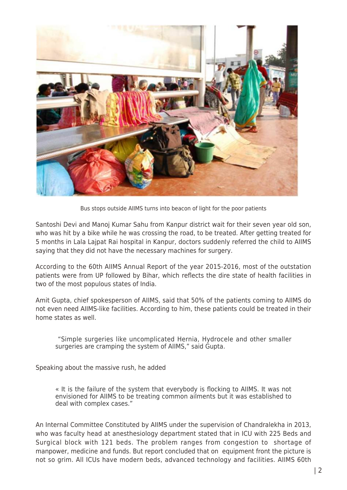

Bus stops outside AIIMS turns into beacon of light for the poor patients

Santoshi Devi and Manoj Kumar Sahu from Kanpur district wait for their seven year old son, who was hit by a bike while he was crossing the road, to be treated. After getting treated for 5 months in Lala Lajpat Rai hospital in Kanpur, doctors suddenly referred the child to AIIMS saying that they did not have the necessary machines for surgery.

According to the 60th AIIMS Annual Report of the year 2015-2016, most of the outstation patients were from UP followed by Bihar, which reflects the dire state of health facilities in two of the most populous states of India.

Amit Gupta, chief spokesperson of AIIMS, said that 50% of the patients coming to AIIMS do not even need AIIMS-like facilities. According to him, these patients could be treated in their home states as well.

 "Simple surgeries like uncomplicated Hernia, Hydrocele and other smaller surgeries are cramping the system of AIIMS," said Gupta.

Speaking about the massive rush, he added

« It is the failure of the system that everybody is flocking to AIIMS. It was not envisioned for AIIMS to be treating common ailments but it was established to deal with complex cases."

An Internal Committee Constituted by AIIMS under the supervision of Chandralekha in 2013, who was faculty head at anesthesiology department stated that in ICU with 225 Beds and Surgical block with 121 beds. The problem ranges from congestion to shortage of manpower, medicine and funds. But report concluded that on equipment front the picture is not so grim. All ICUs have modern beds, advanced technology and facilities. AIIMS 60th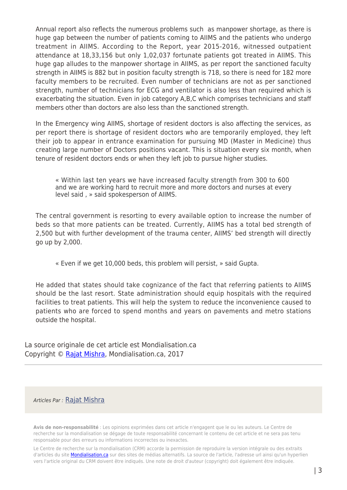Annual report also reflects the numerous problems such as manpower shortage, as there is huge gap between the number of patients coming to AIIMS and the patients who undergo treatment in AIIMS. According to the Report, year 2015-2016, witnessed outpatient attendance at 18,33,156 but only 1,02,037 fortunate patients got treated in AIIMS. This huge gap alludes to the manpower shortage in AIIMS, as per report the sanctioned faculty strength in AIIMS is 882 but in position faculty strength is 718, so there is need for 182 more faculty members to be recruited. Even number of technicians are not as per sanctioned strength, number of technicians for ECG and ventilator is also less than required which is exacerbating the situation. Even in job category A,B,C which comprises technicians and staff members other than doctors are also less than the sanctioned strength.

In the Emergency wing AIIMS, shortage of resident doctors is also affecting the services, as per report there is shortage of resident doctors who are temporarily employed, they left their job to appear in entrance examination for pursuing MD (Master in Medicine) thus creating large number of Doctors positions vacant. This is situation every six month, when tenure of resident doctors ends or when they left job to pursue higher studies.

« Within last ten years we have increased faculty strength from 300 to 600 and we are working hard to recruit more and more doctors and nurses at every level said , » said spokesperson of AIIMS.

The central government is resorting to every available option to increase the number of beds so that more patients can be treated. Currently, AIIMS has a total bed strength of 2,500 but with further development of the trauma center, AIIMS' bed strength will directly go up by 2,000.

« Even if we get 10,000 beds, this problem will persist, » said Gupta.

He added that states should take cognizance of the fact that referring patients to AIIMS should be the last resort. State administration should equip hospitals with the required facilities to treat patients. This will help the system to reduce the inconvenience caused to patients who are forced to spend months and years on pavements and metro stations outside the hospital.

La source originale de cet article est Mondialisation.ca Copyright © [Rajat Mishra](https://www.mondialisation.ca/author/rajat-mishra), Mondialisation.ca, 2017

## Articles Par : [Rajat Mishra](https://www.mondialisation.ca/author/rajat-mishra)

**Avis de non-responsabilité** : Les opinions exprimées dans cet article n'engagent que le ou les auteurs. Le Centre de recherche sur la mondialisation se dégage de toute responsabilité concernant le contenu de cet article et ne sera pas tenu responsable pour des erreurs ou informations incorrectes ou inexactes.

Le Centre de recherche sur la mondialisation (CRM) accorde la permission de reproduire la version intégrale ou des extraits d'articles du site **Mondialisation.ca** sur des sites de médias alternatifs. La source de l'article, l'adresse url ainsi qu'un hyperlien vers l'article original du CRM doivent être indiqués. Une note de droit d'auteur (copyright) doit également être indiquée.